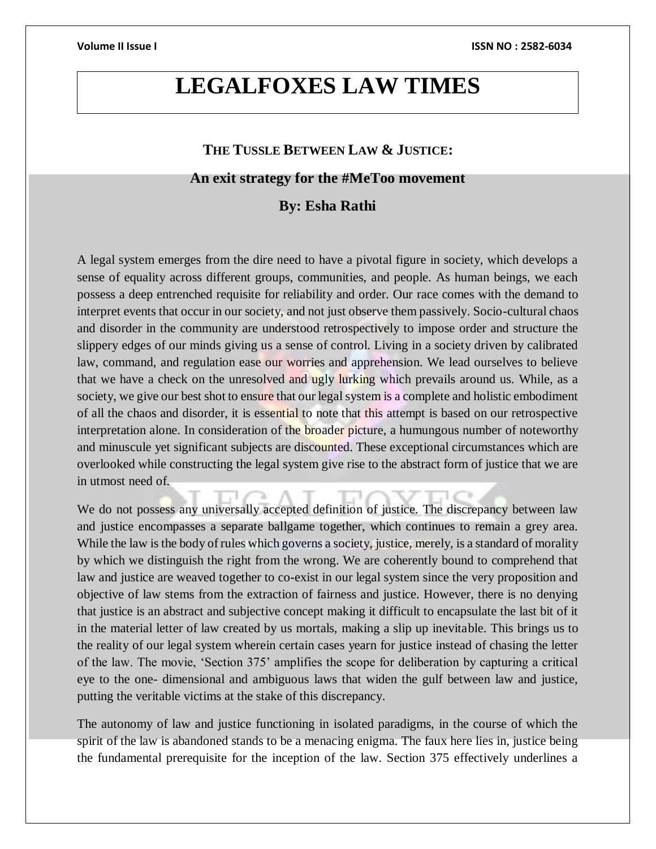# **LEGALFOXES LAW TIMES**

# **THE TUSSLE BETWEEN LAW & JUSTICE:**

## **An exit strategy for the #MeToo movement**

### **By: Esha Rathi**

A legal system emerges from the dire need to have a pivotal figure in society, which develops a sense of equality across different groups, communities, and people. As human beings, we each possess a deep entrenched requisite for reliability and order. Our race comes with the demand to interpret events that occur in our society, and not just observe them passively. Socio-cultural chaos and disorder in the community are understood retrospectively to impose order and structure the slippery edges of our minds giving us a sense of control. Living in a society driven by calibrated law, command, and regulation ease our worries and apprehension. We lead ourselves to believe that we have a check on the unresolved and ugly lurking which prevails around us. While, as a society, we give our best shot to ensure that our legal system is a complete and holistic embodiment of all the chaos and disorder, it is essential to note that this attempt is based on our retrospective interpretation alone. In consideration of the **broader picture**, a humungous number of noteworthy and minuscule yet significant subjects are discounted. These exceptional circumstances which are overlooked while constructing the legal system give rise to the abstract form of justice that we are in utmost need of.

We do not possess any universally accepted definition of justice. The discrepancy between law and justice encompasses a separate ballgame together, which continues to remain a grey area. While the law is the body of rules which governs a society, justice, merely, is a standard of morality by which we distinguish the right from the wrong. We are coherently bound to comprehend that law and justice are weaved together to co-exist in our legal system since the very proposition and objective of law stems from the extraction of fairness and justice. However, there is no denying that justice is an abstract and subjective concept making it difficult to encapsulate the last bit of it in the material letter of law created by us mortals, making a slip up inevitable. This brings us to the reality of our legal system wherein certain cases yearn for justice instead of chasing the letter of the law. The movie, 'Section 375' amplifies the scope for deliberation by capturing a critical eye to the one- dimensional and ambiguous laws that widen the gulf between law and justice, putting the veritable victims at the stake of this discrepancy.

The autonomy of law and justice functioning in isolated paradigms, in the course of which the spirit of the law is abandoned stands to be a menacing enigma. The faux here lies in, justice being the fundamental prerequisite for the inception of the law. Section 375 effectively underlines a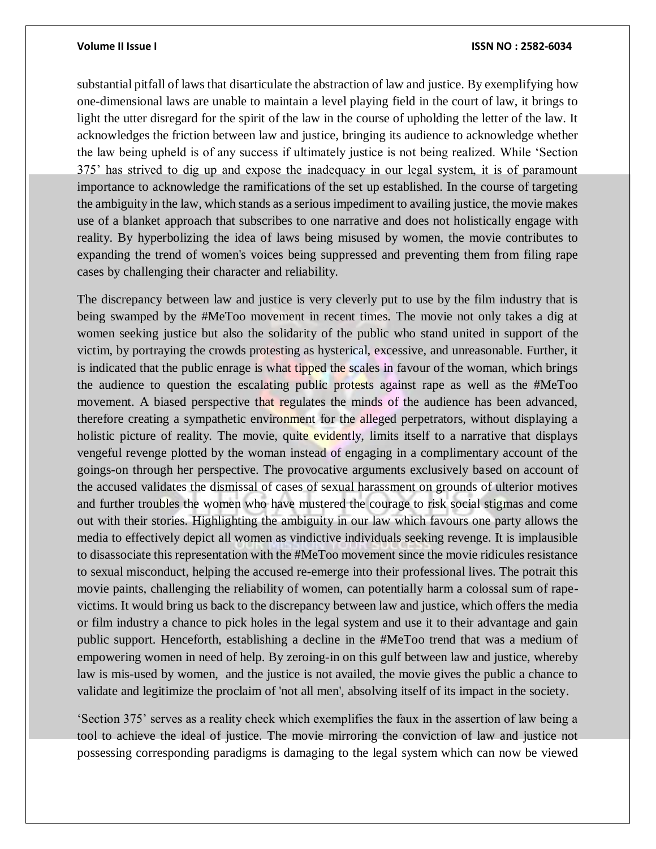### **Volume II Issue I ISSN NO : 2582-6034**

substantial pitfall of laws that disarticulate the abstraction of law and justice. By exemplifying how one-dimensional laws are unable to maintain a level playing field in the court of law, it brings to light the utter disregard for the spirit of the law in the course of upholding the letter of the law. It acknowledges the friction between law and justice, bringing its audience to acknowledge whether the law being upheld is of any success if ultimately justice is not being realized. While 'Section 375' has strived to dig up and expose the inadequacy in our legal system, it is of paramount importance to acknowledge the ramifications of the set up established. In the course of targeting the ambiguity in the law, which stands as a serious impediment to availing justice, the movie makes use of a blanket approach that subscribes to one narrative and does not holistically engage with reality. By hyperbolizing the idea of laws being misused by women, the movie contributes to expanding the trend of women's voices being suppressed and preventing them from filing rape cases by challenging their character and reliability.

The discrepancy between law and justice is very cleverly put to use by the film industry that is being swamped by the #MeToo movement in recent times. The movie not only takes a dig at women seeking justice but also the solidarity of the public who stand united in support of the victim, by portraying the crowds protesting as hysterical, excessive, and unreasonable. Further, it is indicated that the public enrage is what tipped the scales in favour of the woman, which brings the audience to question the escalating public protests against rape as well as the #MeToo movement. A biased perspective that regulates the minds of the audience has been advanced, therefore creating a sympathetic environment for the alleged perpetrators, without displaying a holistic picture of reality. The movie, quite evidently, limits itself to a narrative that displays vengeful revenge plotted by the woman instead of engaging in a complimentary account of the goings-on through her perspective. The provocative arguments exclusively based on account of the accused validates the dismissal of cases of sexual harassment on grounds of ulterior motives and further troubles the women who have mustered the courage to risk social stigmas and come out with their stories. Highlighting the ambiguity in our law which favours one party allows the media to effectively depict all women as vindictive individuals seeking revenge. It is implausible to disassociate this representation with the #MeToo movement since the movie ridicules resistance to sexual misconduct, helping the accused re-emerge into their professional lives. The potrait this movie paints, challenging the reliability of women, can potentially harm a colossal sum of rapevictims. It would bring us back to the discrepancy between law and justice, which offers the media or film industry a chance to pick holes in the legal system and use it to their advantage and gain public support. Henceforth, establishing a decline in the #MeToo trend that was a medium of empowering women in need of help. By zeroing-in on this gulf between law and justice, whereby law is mis-used by women, and the justice is not availed, the movie gives the public a chance to validate and legitimize the proclaim of 'not all men', absolving itself of its impact in the society.

'Section 375' serves as a reality check which exemplifies the faux in the assertion of law being a tool to achieve the ideal of justice. The movie mirroring the conviction of law and justice not possessing corresponding paradigms is damaging to the legal system which can now be viewed